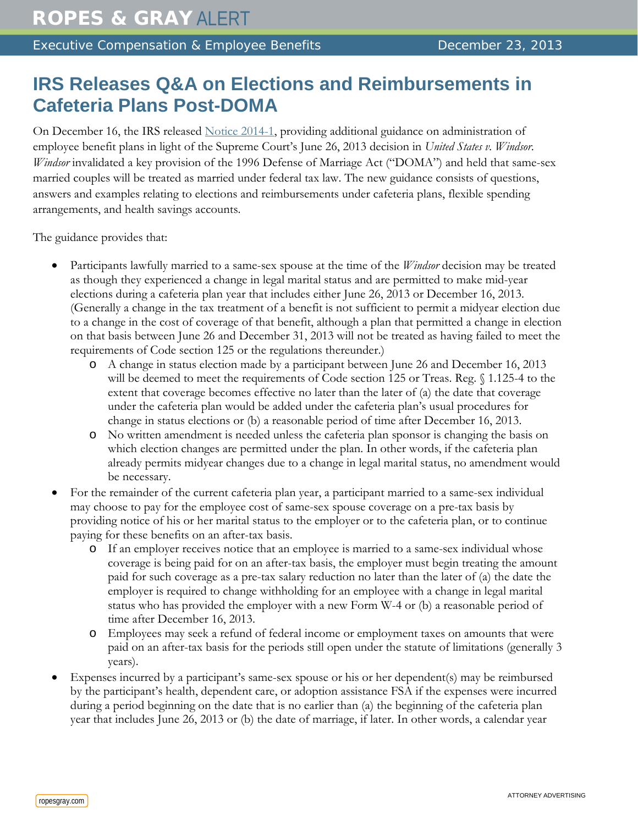Executive Compensation & Employee Benefits **Executive Compensation & Employee Benefits** December 23, 2013

## **IRS Releases Q&A on Elections and Reimbursements in Cafeteria Plans Post-DOMA**

On December 16, the IRS released [Notice 2014-1,](http://www.irs.gov/pub/irs-drop/n-14-01.pdf?__hstc=2527023.a9215ecce63f7e218f5c273a0770b8ce.1383143556667.1387573560260.1387816964514.80&__hssc=2527023.3.1387816964514&__hsfp=3537359523) providing additional guidance on administration of employee benefit plans in light of the Supreme Court's June 26, 2013 decision in *United States v. Windsor*. *Windsor* invalidated a key provision of the 1996 Defense of Marriage Act ("DOMA") and held that same-sex married couples will be treated as married under federal tax law. The new guidance consists of questions, answers and examples relating to elections and reimbursements under cafeteria plans, flexible spending arrangements, and health savings accounts.

The guidance provides that:

- Participants lawfully married to a same-sex spouse at the time of the *Windsor* decision may be treated as though they experienced a change in legal marital status and are permitted to make mid-year elections during a cafeteria plan year that includes either June 26, 2013 or December 16, 2013. (Generally a change in the tax treatment of a benefit is not sufficient to permit a midyear election due to a change in the cost of coverage of that benefit, although a plan that permitted a change in election on that basis between June 26 and December 31, 2013 will not be treated as having failed to meet the requirements of Code section 125 or the regulations thereunder.)
	- o A change in status election made by a participant between June 26 and December 16, 2013 will be deemed to meet the requirements of Code section 125 or Treas. Reg. § 1.125-4 to the extent that coverage becomes effective no later than the later of (a) the date that coverage under the cafeteria plan would be added under the cafeteria plan's usual procedures for change in status elections or (b) a reasonable period of time after December 16, 2013.
	- o No written amendment is needed unless the cafeteria plan sponsor is changing the basis on which election changes are permitted under the plan. In other words, if the cafeteria plan already permits midyear changes due to a change in legal marital status, no amendment would be necessary.
- For the remainder of the current cafeteria plan year, a participant married to a same-sex individual may choose to pay for the employee cost of same-sex spouse coverage on a pre-tax basis by providing notice of his or her marital status to the employer or to the cafeteria plan, or to continue paying for these benefits on an after-tax basis.
	- o If an employer receives notice that an employee is married to a same-sex individual whose coverage is being paid for on an after-tax basis, the employer must begin treating the amount paid for such coverage as a pre-tax salary reduction no later than the later of (a) the date the employer is required to change withholding for an employee with a change in legal marital status who has provided the employer with a new Form W-4 or (b) a reasonable period of time after December 16, 2013.
	- o Employees may seek a refund of federal income or employment taxes on amounts that were paid on an after-tax basis for the periods still open under the statute of limitations (generally 3 years).
- Expenses incurred by a participant's same-sex spouse or his or her dependent(s) may be reimbursed by the participant's health, dependent care, or adoption assistance FSA if the expenses were incurred during a period beginning on the date that is no earlier than (a) the beginning of the cafeteria plan year that includes June 26, 2013 or (b) the date of marriage, if later. In other words, a calendar year